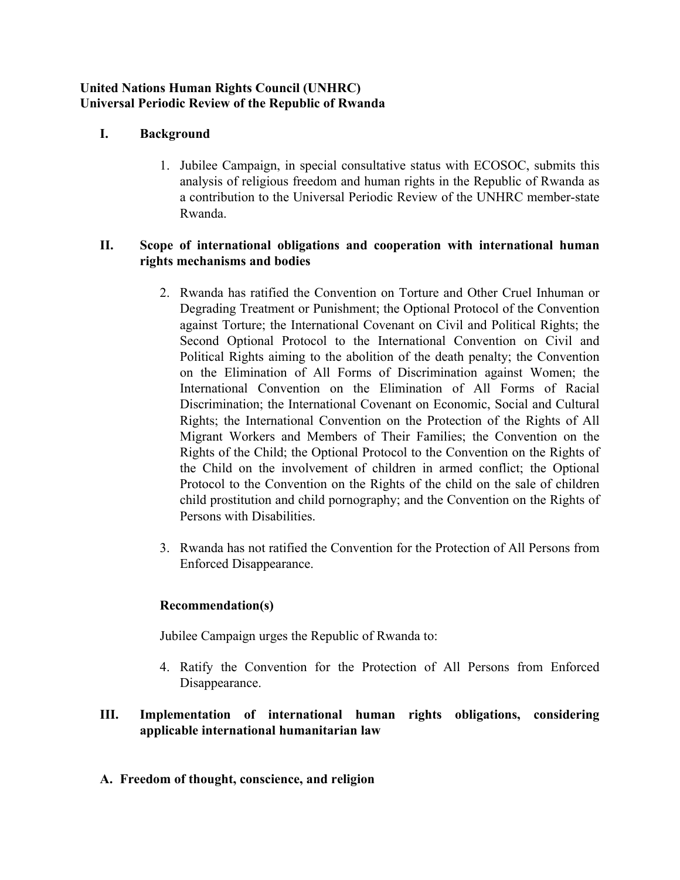#### **United Nations Human Rights Council (UNHRC) Universal Periodic Review of the Republic of Rwanda**

# **I. Background**

1. Jubilee Campaign, in special consultative status with ECOSOC, submits this analysis of religious freedom and human rights in the Republic of Rwanda as <sup>a</sup> contribution to the Universal Periodic Review of the UNHRC member-state Rwanda.

# **II. Scope of international obligations and cooperation with international human rights mechanisms and bodies**

- 2. Rwanda has ratified the Convention on Torture and Other Cruel Inhuman or Degrading Treatment or Punishment; the Optional Protocol of the Convention against Torture; the International Covenant on Civil and Political Rights; the Second Optional Protocol to the International Convention on Civil and Political Rights aiming to the abolition of the death penalty; the Convention on the Elimination of All Forms of Discrimination against Women; the International Convention on the Elimination of All Forms of Racial Discrimination; the International Covenant on Economic, Social and Cultural Rights; the International Convention on the Protection of the Rights of All Migrant Workers and Members of Their Families; the Convention on the Rights of the Child; the Optional Protocol to the Convention on the Rights of the Child on the involvement of children in armed conflict; the Optional Protocol to the Convention on the Rights of the child on the sale of children child prostitution and child pornography; and the Convention on the Rights of Persons with Disabilities.
- 3. Rwanda has not ratified the Convention for the Protection of All Persons from Enforced Disappearance.

## **Recommendation(s)**

Jubilee Campaign urges the Republic of Rwanda to:

4. Ratify the Convention for the Protection of All Persons from Enforced Disappearance.

# **III. Implementation of international human rights obligations, considering applicable international humanitarian law**

## **A. Freedom of thought, conscience, and religion**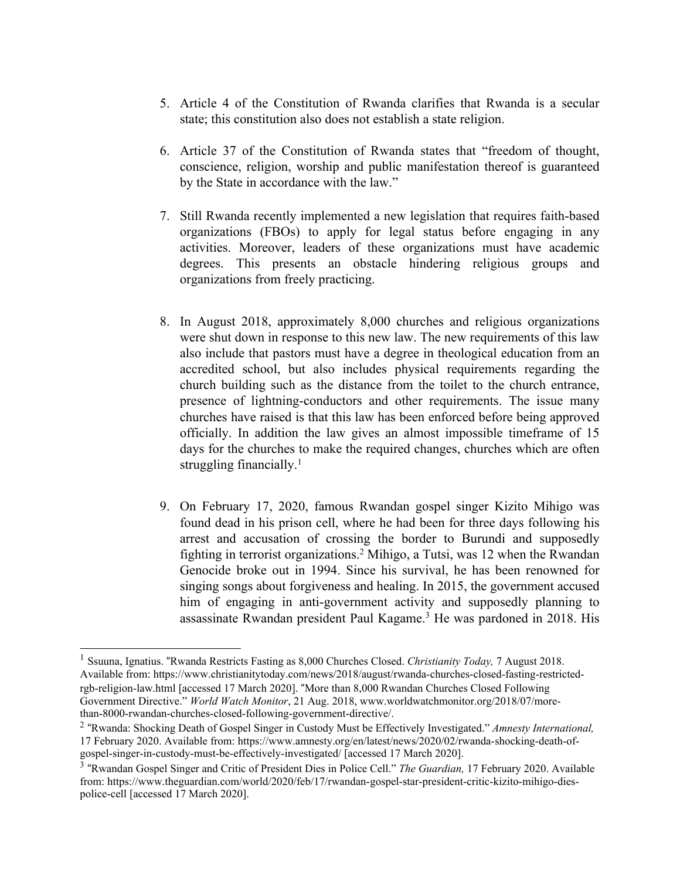- 5. Article 4 of the Constitution of Rwanda clarifies that Rwanda is <sup>a</sup> secular state; this constitution also does not establish <sup>a</sup> state religion.
- 6. Article 37 of the Constitution of Rwanda states that "freedom of thought, conscience, religion, worship and public manifestation thereof is guaranteed by the State in accordance with the law."
- 7. Still Rwanda recently implemented <sup>a</sup> new legislation that requires faith-based organizations (FBOs) to apply for legal status before engaging in any activities. Moreover, leaders of these organizations must have academic degrees. This presents an obstacle hindering religious groups and organizations from freely practicing.
- 8. In August 2018, approximately 8,000 churches and religious organizations were shut down in response to this new law. The new requirements of this law also include that pastors must have <sup>a</sup> degree in theological education from an accredited school, but also includes physical requirements regarding the church building such as the distance from the toilet to the church entrance, presence of lightning-conductors and other requirements. The issue many churches have raised is that this law has been enforced before being approved officially. In addition the law gives an almost impossible timeframe of 15 days for the churches to make the required changes, churches which are often struggling financially. 1
- 9. On February 17, 2020, famous Rwandan gospel singer Kizito Mihigo was found dead in his prison cell, where he had been for three days following his arrest and accusation of crossing the border to Burundi and supposedly fighting in terrorist organizations. <sup>2</sup> Mihigo, <sup>a</sup> Tutsi, was <sup>12</sup> when the Rwandan Genocide broke out in 1994. Since his survival, he has been renowned for singing songs about forgiveness and healing. In 2015, the governmen<sup>t</sup> accused him of engaging in anti-government activity and supposedly planning to assassinate Rwandan president Paul Kagame. <sup>3</sup> He was pardoned in 2018. His

<sup>1</sup> Ssuuna, Ignatius. "Rwanda Restricts Fasting as 8,000 Churches Closed. *Christianity Today,* 7 August 2018. Available from: https://www.christianitytoday.com/news/2018/august/rwanda-churches-closed-fasting-restrictedrgb-religion-law.html [accessed 17 March 2020]. "More than 8,000 Rwandan Churches Closed Following Government Directive." *World Watch Monitor*, 21 Aug. 2018, www.worldwatchmonitor.org/2018/07/morethan-8000-rwandan-churches-closed-following-government-directive/.

<sup>2</sup> "Rwanda: Shocking Death of Gospel Singer in Custody Must be Effectively Investigated." *Amnesty International,* 17 February 2020. Available from: https://www.amnesty.org/en/latest/news/2020/02/rwanda-shocking-death-ofgospel-singer-in-custody-must-be-effectively-investigated/ [accessed 17 March 2020].

<sup>3</sup> "Rwandan Gospel Singer and Critic of President Dies in Police Cell." *The Guardian,* 17 February 2020. Available from: https://www.theguardian.com/world/2020/feb/17/rwandan-gospel-star-president-critic-kizito-mihigo-diespolice-cell [accessed 17 March 2020].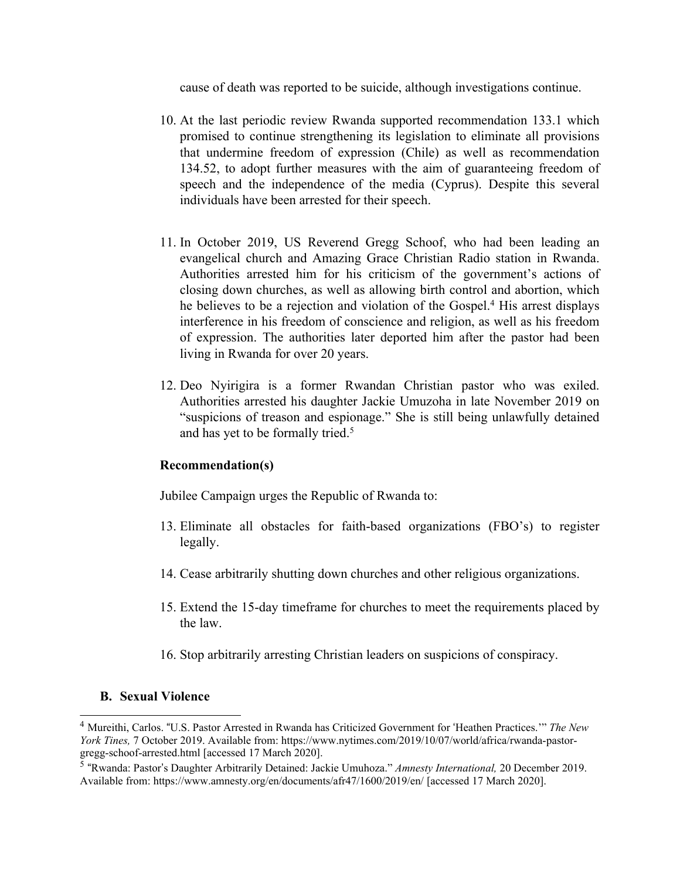cause of death was reported to be suicide, although investigations continue.

- 10. At the last periodic review Rwanda supported recommendation 133.1 which promised to continue strengthening its legislation to eliminate all provisions that undermine freedom of expression (Chile) as well as recommendation 134.52, to adopt further measures with the aim of guaranteeing freedom of speech and the independence of the media (Cyprus). Despite this several individuals have been arrested for their speech.
- 11. In October 2019, US Reverend Gregg Schoof, who had been leading an evangelical church and Amazing Grace Christian Radio station in Rwanda. Authorities arrested him for his criticism of the government'<sup>s</sup> actions of closing down churches, as well as allowing birth control and abortion, which he believes to be <sup>a</sup> rejection and violation of the Gospel. <sup>4</sup> His arrest displays interference in his freedom of conscience and religion, as well as his freedom of expression. The authorities later deported him after the pastor had been living in Rwanda for over 20 years.
- 12. Deo Nyirigira is <sup>a</sup> former Rwandan Christian pastor who was exiled. Authorities arrested his daughter Jackie Umuzoha in late November 2019 on "suspicions of treason and espionage." She is still being unlawfully detained and has ye<sup>t</sup> to be formally tried. 5

#### **Recommendation(s)**

Jubilee Campaign urges the Republic of Rwanda to:

- 13. Eliminate all obstacles for faith-based organizations (FBO's) to register legally.
- 14. Cease arbitrarily shutting down churches and other religious organizations.
- 15. Extend the 15-day timeframe for churches to meet the requirements placed by the law.
- 16. Stop arbitrarily arresting Christian leaders on suspicions of conspiracy.

#### **B. Sexual Violence**

<sup>4</sup> Mureithi, Carlos. "U.S. Pastor Arrested in Rwanda has Criticized Government for 'Heathen Practices.'" *The New York Tines,* 7 October 2019. Available from: https://www.nytimes.com/2019/10/07/world/africa/rwanda-pastorgregg-schoof-arrested.html [accessed 17 March 2020].

<sup>5</sup> "Rwanda: Pastor'<sup>s</sup> Daughter Arbitrarily Detained: Jackie Umuhoza." *Amnesty International,* 20 December 2019. Available from: https://www.amnesty.org/en/documents/afr47/1600/2019/en/ [accessed 17 March 2020].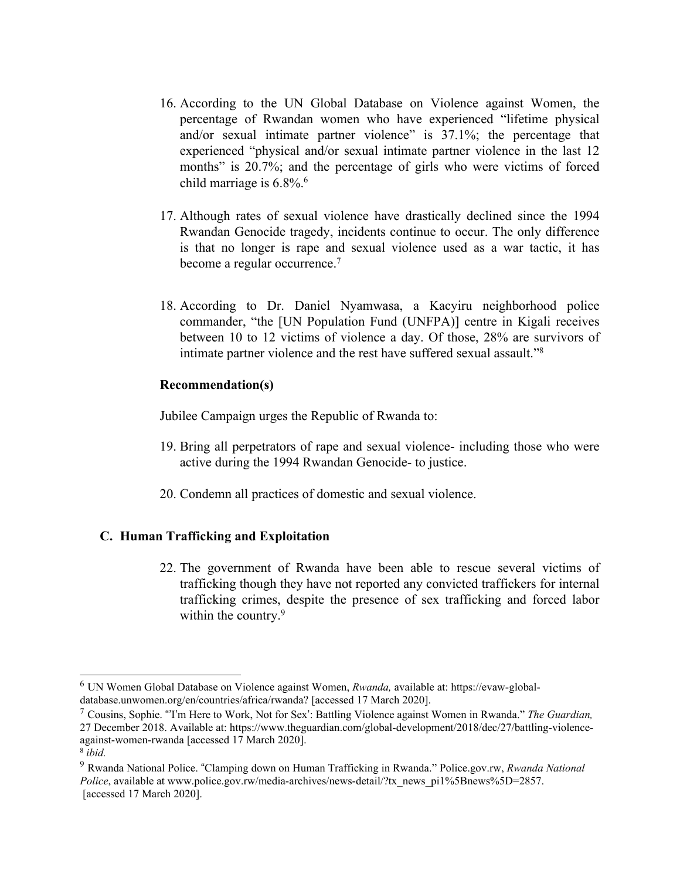- 16. According to the UN Global Database on Violence against Women, the percentage of Rwandan women who have experienced "lifetime physical and/or sexual intimate partner violence" is 37.1%; the percentage that experienced "physical and/or sexual intimate partner violence in the last 12 months" is 20.7%; and the percentage of girls who were victims of forced child marriage is 6.8%. 6
- 17. Although rates of sexual violence have drastically declined since the 1994 Rwandan Genocide tragedy, incidents continue to occur. The only difference is that no longer is rape and sexual violence used as <sup>a</sup> war tactic, it has become <sup>a</sup> regular occurrence. 7
- 18. According to Dr. Daniel Nyamwasa, <sup>a</sup> Kacyiru neighborhood police commander, "the [UN Population Fund (UNFPA)] centre in Kigali receives between 10 to 12 victims of violence <sup>a</sup> day. Of those, 28% are survivors of intimate partner violence and the rest have suffered sexual assault."<sup>8</sup>

Jubilee Campaign urges the Republic of Rwanda to:

- 19. Bring all perpetrators of rape and sexual violence- including those who were active during the 1994 Rwandan Genocide- to justice.
- 20. Condemn all practices of domestic and sexual violence.

## **C. Human Trafficking and Exploitation**

22. The governmen<sup>t</sup> of Rwanda have been able to rescue several victims of trafficking though they have not reported any convicted traffickers for internal trafficking crimes, despite the presence of sex trafficking and forced labor within the country. 9

<sup>6</sup> UN Women Global Database on Violence against Women, *Rwanda,* available at: https://evaw-globaldatabase.unwomen.org/en/countries/africa/rwanda? [accessed 17 March 2020].

<sup>7</sup> Cousins, Sophie. "'I'<sup>m</sup> Here to Work, Not for Sex': Battling Violence against Women in Rwanda." *The Guardian,* 27 December 2018. Available at: https://www.theguardian.com/global-development/2018/dec/27/battling-violenceagainst-women-rwanda [accessed 17 March 2020]. 8 *ibid.*

<sup>9</sup> Rwanda National Police. "Clamping down on Human Trafficking in Rwanda." Police.gov.rw, *Rwanda National Police*, available at www.police.gov.rw/media-archives/news-detail/?tx\_news\_pi1%5Bnews%5D=2857. [accessed 17 March 2020].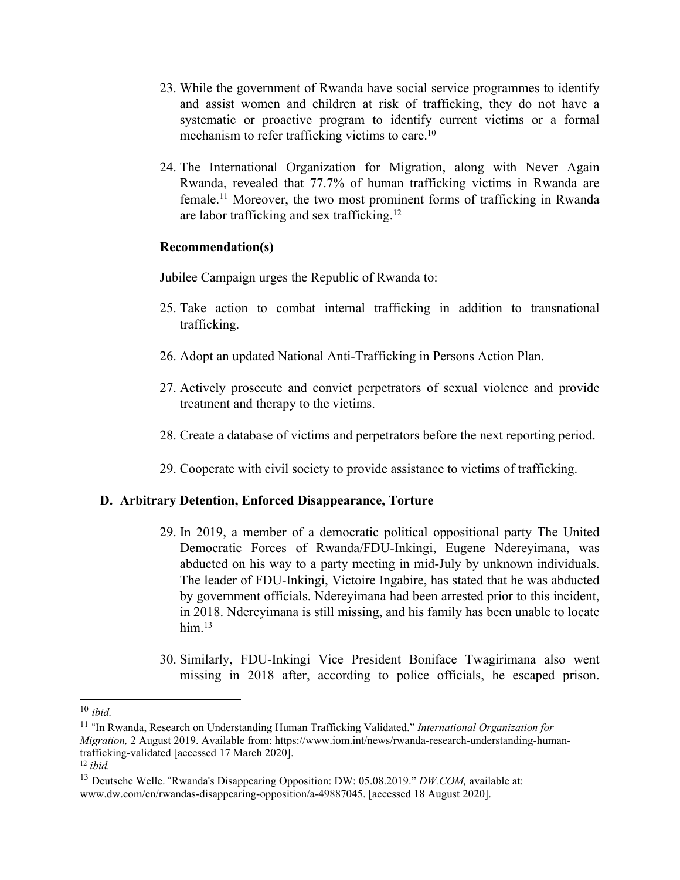- 23. While the governmen<sup>t</sup> of Rwanda have social service programmes to identify and assist women and children at risk of trafficking, they do not have <sup>a</sup> systematic or proactive program to identify current victims or <sup>a</sup> formal mechanism to refer trafficking victims to care.<sup>10</sup>
- 24. The International Organization for Migration, along with Never Again Rwanda, revealed that 77.7% of human trafficking victims in Rwanda are female. <sup>11</sup> Moreover, the two most prominent forms of trafficking in Rwanda are labor trafficking and sex trafficking. 12

Jubilee Campaign urges the Republic of Rwanda to:

- 25. Take action to combat internal trafficking in addition to transnational trafficking.
- 26. Adopt an updated National Anti-Trafficking in Persons Action Plan.
- 27. Actively prosecute and convict perpetrators of sexual violence and provide treatment and therapy to the victims.
- 28. Create <sup>a</sup> database of victims and perpetrators before the next reporting period.
- 29. Cooperate with civil society to provide assistance to victims of trafficking.

#### **D. Arbitrary Detention, Enforced Disappearance, Torture**

- 29. In 2019, <sup>a</sup> member of <sup>a</sup> democratic political oppositional party The United Democratic Forces of Rwanda/FDU-Inkingi, Eugene Ndereyimana, was abducted on his way to <sup>a</sup> party meeting in mid-July by unknown individuals. The leader of FDU-Inkingi, Victoire Ingabire, has stated that he was abducted by governmen<sup>t</sup> officials. Ndereyimana had been arrested prior to this incident, in 2018. Ndereyimana is still missing, and his family has been unable to locate him. 13
- 30. Similarly, FDU-Inkingi Vice President Boniface Twagirimana also went missing in 2018 after, according to police officials, he escaped prison.

<sup>10</sup> *ibid.*

<sup>11</sup> "In Rwanda, Research on Understanding Human Trafficking Validated." *International Organization for Migration,* 2 August 2019. Available from: https://www.iom.int/news/rwanda-research-understanding-humantrafficking-validated [accessed 17 March 2020].

<sup>12</sup> *ibid.*

<sup>&</sup>lt;sup>13</sup> Deutsche Welle. "Rwanda's Disappearing Opposition: DW: 05.08.2019." *DW.COM*, available at: www.dw.com/en/rwandas-disappearing-opposition/a-49887045. [accessed 18 August 2020].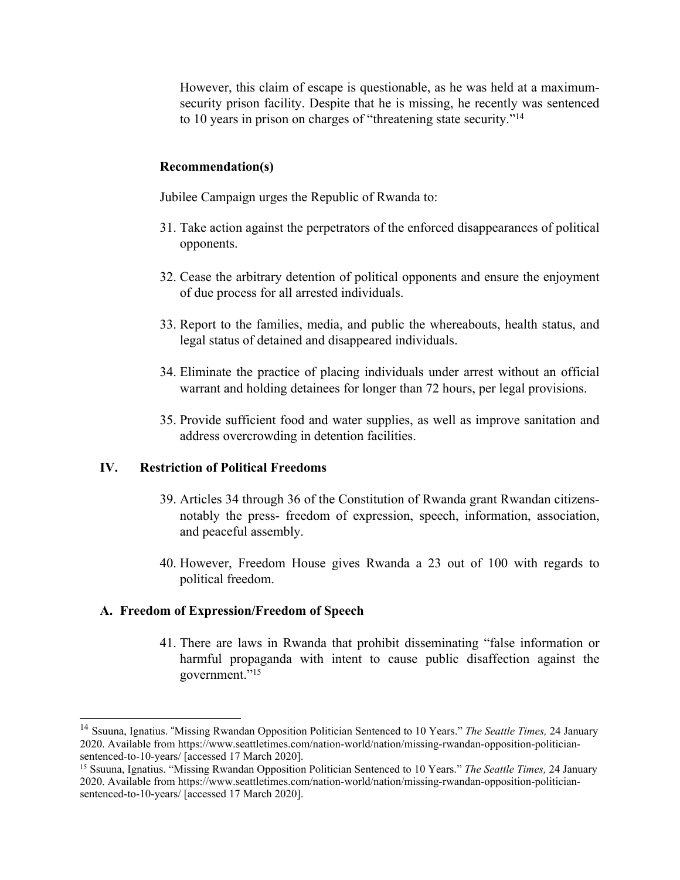However, this claim of escape is questionable, as he was held at <sup>a</sup> maximumsecurity prison facility. Despite that he is missing, he recently was sentenced to 10 years in prison on charges of "threatening state security."<sup>14</sup>

#### **Recommendation(s)**

Jubilee Campaign urges the Republic of Rwanda to:

- 31. Take action against the perpetrators of the enforced disappearances of political opponents.
- 32. Cease the arbitrary detention of political opponents and ensure the enjoyment of due process for all arrested individuals.
- 33. Report to the families, media, and public the whereabouts, health status, and legal status of detained and disappeared individuals.
- 34. Eliminate the practice of placing individuals under arrest without an official warrant and holding detainees for longer than 72 hours, per legal provisions.
- 35. Provide sufficient food and water supplies, as well as improve sanitation and address overcrowding in detention facilities.

#### **IV. Restriction of Political Freedoms**

- 39. Articles 34 through 36 of the Constitution of Rwanda gran<sup>t</sup> Rwandan citizensnotably the press- freedom of expression, speech, information, association, and peaceful assembly.
- 40. However, Freedom House gives Rwanda <sup>a</sup> 23 out of 100 with regards to political freedom.

## **A. Freedom of Expression/Freedom of Speech**

41. There are laws in Rwanda that prohibit disseminating "false information or harmful propaganda with intent to cause public disaffection against the government."<sup>15</sup>

<sup>14</sup> Ssuuna, Ignatius. "Missing Rwandan Opposition Politician Sentenced to 10 Years." *The Seattle Times,* 24 January 2020. Available from https://www.seattletimes.com/nation-world/nation/missing-rwandan-opposition-politiciansentenced-to-10-years/ [accessed 17 March 2020].

<sup>15</sup> Ssuuna, Ignatius. "Missing Rwandan Opposition Politician Sentenced to 10 Years." *The Seattle Times,* 24 January 2020. Available from https://www.seattletimes.com/nation-world/nation/missing-rwandan-opposition-politiciansentenced-to-10-years/ [accessed 17 March 2020].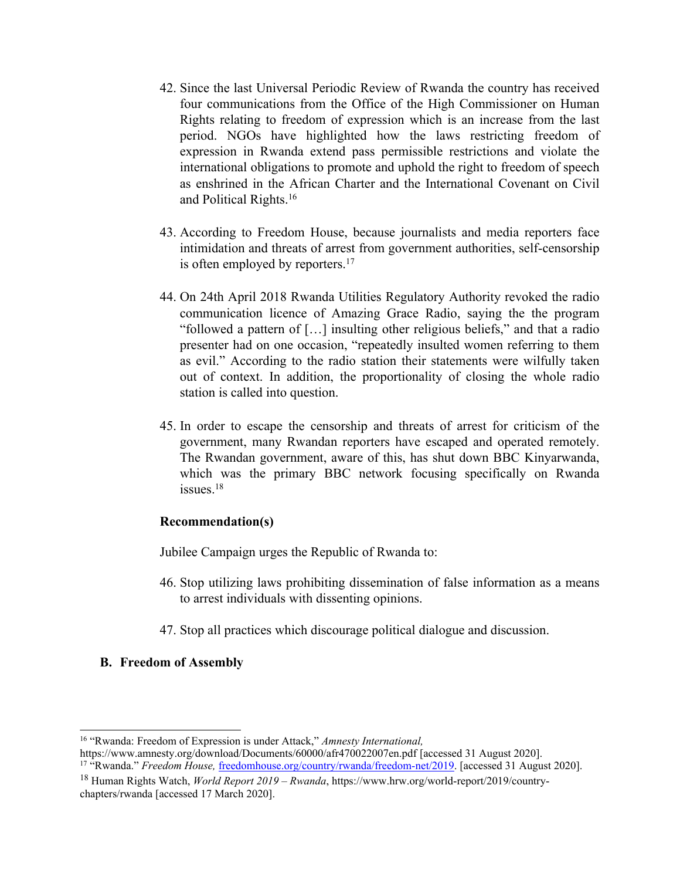- 42. Since the last Universal Periodic Review of Rwanda the country has received four communications from the Office of the High Commissioner on Human Rights relating to freedom of expression which is an increase from the last period. NGOs have highlighted how the laws restricting freedom of expression in Rwanda extend pass permissible restrictions and violate the international obligations to promote and uphold the right to freedom of speech as enshrined in the African Charter and the International Covenant on Civil and Political Rights. 16
- 43. According to Freedom House, because journalists and media reporters face intimidation and threats of arrest from governmen<sup>t</sup> authorities, self-censorship is often employed by reporters. 17
- 44. On 24th April 2018 Rwanda Utilities Regulatory Authority revoked the radio communication licence of Amazing Grace Radio, saying the the program "followed <sup>a</sup> pattern of […] insulting other religious beliefs," and that <sup>a</sup> radio presenter had on one occasion, "repeatedly insulted women referring to them as evil." According to the radio station their statements were wilfully taken out of context. In addition, the proportionality of closing the whole radio station is called into question.
- 45. In order to escape the censorship and threats of arrest for criticism of the government, many Rwandan reporters have escaped and operated remotely. The Rwandan government, aware of this, has shut down BBC Kinyarwanda, which was the primary BBC network focusing specifically on Rwanda issues. 18

Jubilee Campaign urges the Republic of Rwanda to:

- 46. Stop utilizing laws prohibiting dissemination of false information as <sup>a</sup> means to arrest individuals with dissenting opinions.
- 47. Stop all practices which discourage political dialogue and discussion.

## **B. Freedom of Assembly**

<sup>16</sup> "Rwanda: Freedom of Expression is under Attack," *Amnesty International,*

https://www.amnesty.org/download/Documents/60000/afr470022007en.pdf [accessed 31 August 2020]. <sup>17</sup> "Rwanda." *Freedom House*, [freedomhouse.org/country/rwanda/freedom-net/2019](http://freedomhouse.org/country/rwanda/freedom-net/2019). [accessed 31 August 2020].

<sup>18</sup> Human Rights Watch, *World Report 2019 – Rwanda*, https://www.hrw.org/world-report/2019/countrychapters/rwanda [accessed 17 March 2020].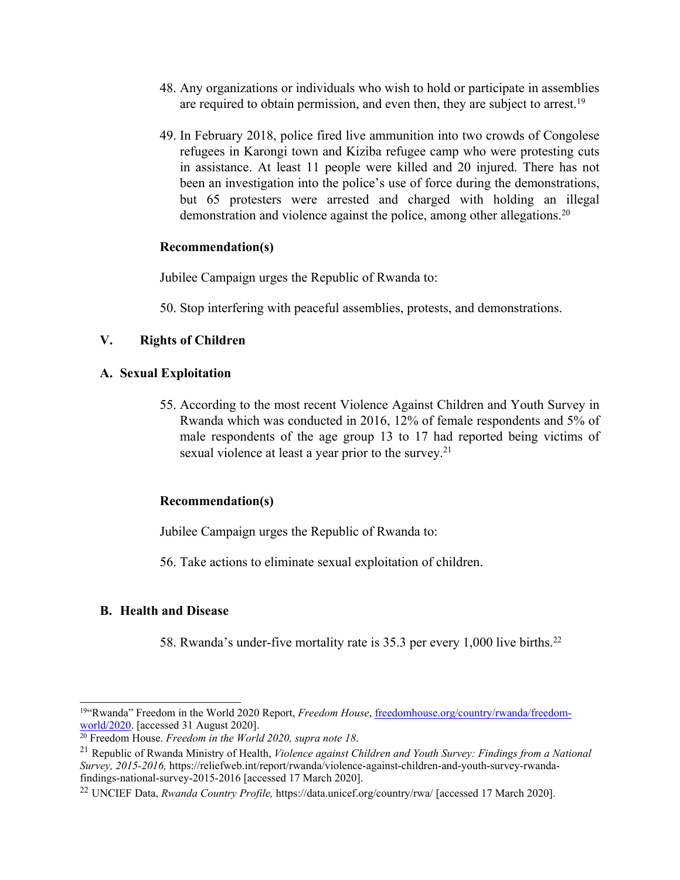- 48. Any organizations or individuals who wish to hold or participate in assemblies are required to obtain permission, and even then, they are subject to arrest.<sup>19</sup>
- 49. In February 2018, police fired live ammunition into two crowds of Congolese refugees in Karongi town and Kiziba refugee camp who were protesting cuts in assistance. At least 11 people were killed and 20 injured. There has not been an investigation into the police'<sup>s</sup> use of force during the demonstrations, but 65 protesters were arrested and charged with holding an illegal demonstration and violence against the police, among other allegations. 20

Jubilee Campaign urges the Republic of Rwanda to:

50. Stop interfering with peaceful assemblies, protests, and demonstrations.

## **V. Rights of Children**

#### **A. Sexual Exploitation**

55. According to the most recent Violence Against Children and Youth Survey in Rwanda which was conducted in 2016, 12% of female respondents and 5% of male respondents of the age group 13 to 17 had reported being victims of sexual violence at least a year prior to the survey.<sup>21</sup>

## **Recommendation(s)**

Jubilee Campaign urges the Republic of Rwanda to:

56. Take actions to eliminate sexual exploitation of children.

## **B. Health and Disease**

58. Rwanda'<sup>s</sup> under-five mortality rate is 35.3 per every 1,000 live births. 22

<sup>&</sup>lt;sup>19</sup> 'Rwanda'' Freedom in the World 2020 Report, *Freedom House*, [freedomhouse.org/country/rwanda/freedom](http://freedomhouse.org/country/rwanda/freedom-world/2020)[world/2020](http://freedomhouse.org/country/rwanda/freedom-world/2020). [accessed 31 August 2020].

<sup>20</sup> Freedom House. *Freedom in the World 2020, supra note 18*.

<sup>21</sup> Republic of Rwanda Ministry of Health, *Violence against Children and Youth Survey: Findings from <sup>a</sup> National Survey, 2015-2016,* https://reliefweb.int/report/rwanda/violence-against-children-and-youth-survey-rwandafindings-national-survey-2015-2016 [accessed 17 March 2020].

<sup>22</sup> UNCIEF Data, *Rwanda Country Profile,* https://data.unicef.org/country/rwa/ [accessed 17 March 2020].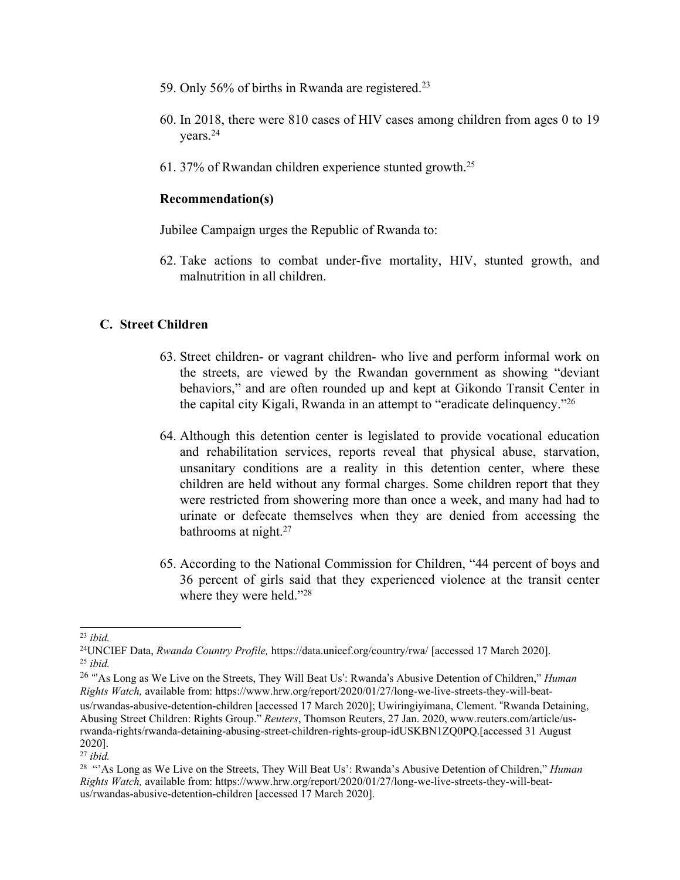- 59. Only 56% of births in Rwanda are registered.<sup>23</sup>
- 60. In 2018, there were 810 cases of HIV cases among children from ages 0 to 19 years. 24
- 61. 37% of Rwandan children experience stunted growth.<sup>25</sup>

Jubilee Campaign urges the Republic of Rwanda to:

62. Take actions to combat under-five mortality, HIV, stunted growth, and malnutrition in all children.

#### **C. Street Children**

- 63. Street children- or vagran<sup>t</sup> children- who live and perform informal work on the streets, are viewed by the Rwandan governmen<sup>t</sup> as showing "deviant behaviors," and are often rounded up and kept at Gikondo Transit Center in the capital city Kigali, Rwanda in an attempt to "eradicate delinquency."<sup>26</sup>
- 64. Although this detention center is legislated to provide vocational education and rehabilitation services, reports reveal that physical abuse, starvation, unsanitary conditions are <sup>a</sup> reality in this detention center, where these children are held without any formal charges. Some children repor<sup>t</sup> that they were restricted from showering more than once <sup>a</sup> week, and many had had to urinate or defecate themselves when they are denied from accessing the bathrooms at night. 27
- 65. According to the National Commission for Children, "44 percen<sup>t</sup> of boys and 36 percen<sup>t</sup> of girls said that they experienced violence at the transit center where they were held."<sup>28</sup>

<sup>23</sup> *ibid.*

<sup>24</sup>UNCIEF Data, *Rwanda Country Profile,* https://data.unicef.org/country/rwa/ [accessed 17 March 2020]. 25 *ibid.*

<sup>26</sup> "'As Long as We Live on the Streets, They Will Beat Us': Rwanda'<sup>s</sup> Abusive Detention of Children," *Human Rights Watch,* available from: https://www.hrw.org/report/2020/01/27/long-we-live-streets-they-will-beatus/rwandas-abusive-detention-children [accessed 17 March 2020]; Uwiringiyimana, Clement. "Rwanda Detaining, Abusing Street Children: Rights Group." *Reuters*, Thomson Reuters, 27 Jan. 2020, www.reuters.com/article/usrwanda-rights/rwanda-detaining-abusing-street-children-rights-group-idUSKBN1ZQ0PQ.[accessed 31 August 2020].

<sup>27</sup> *ibid.*

<sup>28</sup> "'As Long as We Live on the Streets, They Will Beat Us': Rwanda'<sup>s</sup> Abusive Detention of Children," *Human Rights Watch,* available from: https://www.hrw.org/report/2020/01/27/long-we-live-streets-they-will-beatus/rwandas-abusive-detention-children [accessed 17 March 2020].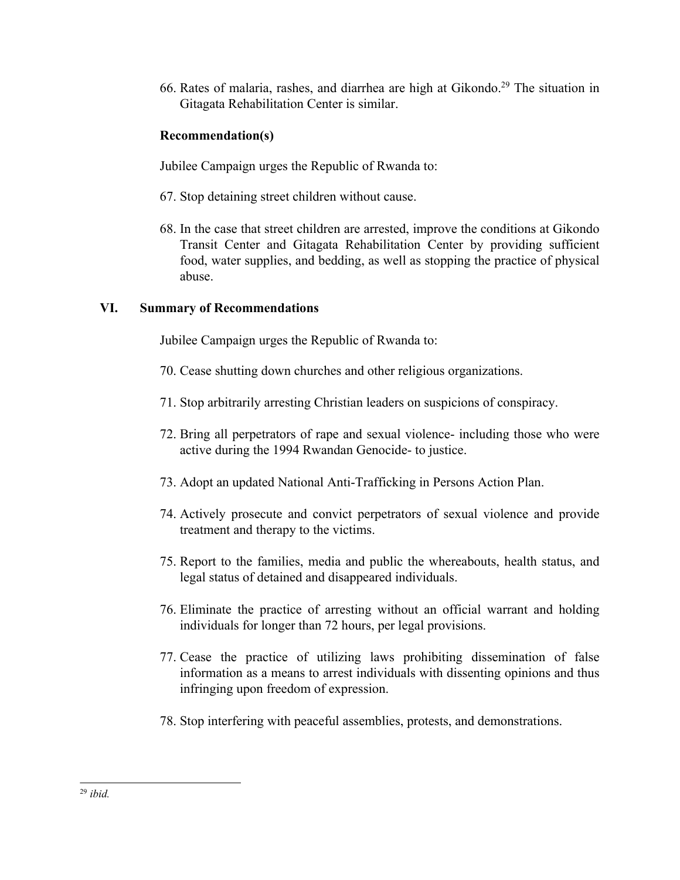66. Rates of malaria, rashes, and diarrhea are high at Gikondo. 29 The situation in Gitagata Rehabilitation Center is similar.

# **Recommendation(s)**

Jubilee Campaign urges the Republic of Rwanda to:

- 67. Stop detaining street children without cause.
- 68. In the case that street children are arrested, improve the conditions at Gikondo Transit Center and Gitagata Rehabilitation Center by providing sufficient food, water supplies, and bedding, as well as stopping the practice of physical abuse.

# **VI. Summary of Recommendations**

Jubilee Campaign urges the Republic of Rwanda to:

- 70. Cease shutting down churches and other religious organizations.
- 71. Stop arbitrarily arresting Christian leaders on suspicions of conspiracy.
- 72. Bring all perpetrators of rape and sexual violence- including those who were active during the 1994 Rwandan Genocide- to justice.
- 73. Adopt an updated National Anti-Trafficking in Persons Action Plan.
- 74. Actively prosecute and convict perpetrators of sexual violence and provide treatment and therapy to the victims.
- 75. Report to the families, media and public the whereabouts, health status, and legal status of detained and disappeared individuals.
- 76. Eliminate the practice of arresting without an official warrant and holding individuals for longer than 72 hours, per legal provisions.
- 77. Cease the practice of utilizing laws prohibiting dissemination of false information as <sup>a</sup> means to arrest individuals with dissenting opinions and thus infringing upon freedom of expression.
- 78. Stop interfering with peaceful assemblies, protests, and demonstrations.

<sup>29</sup> *ibid.*